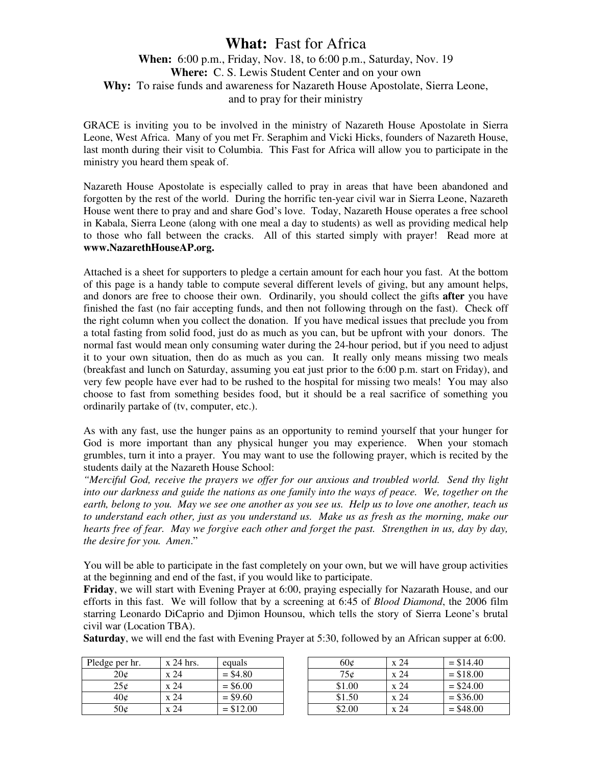## **What:** Fast for Africa

## **When:** 6:00 p.m., Friday, Nov. 18, to 6:00 p.m., Saturday, Nov. 19 **Where:** C. S. Lewis Student Center and on your own **Why:** To raise funds and awareness for Nazareth House Apostolate, Sierra Leone, and to pray for their ministry

GRACE is inviting you to be involved in the ministry of Nazareth House Apostolate in Sierra Leone, West Africa. Many of you met Fr. Seraphim and Vicki Hicks, founders of Nazareth House, last month during their visit to Columbia. This Fast for Africa will allow you to participate in the ministry you heard them speak of.

Nazareth House Apostolate is especially called to pray in areas that have been abandoned and forgotten by the rest of the world. During the horrific ten-year civil war in Sierra Leone, Nazareth House went there to pray and and share God's love. Today, Nazareth House operates a free school in Kabala, Sierra Leone (along with one meal a day to students) as well as providing medical help to those who fall between the cracks. All of this started simply with prayer! Read more at **www.NazarethHouseAP.org.**

Attached is a sheet for supporters to pledge a certain amount for each hour you fast. At the bottom of this page is a handy table to compute several different levels of giving, but any amount helps, and donors are free to choose their own. Ordinarily, you should collect the gifts **after** you have finished the fast (no fair accepting funds, and then not following through on the fast). Check off the right column when you collect the donation. If you have medical issues that preclude you from a total fasting from solid food, just do as much as you can, but be upfront with your donors. The normal fast would mean only consuming water during the 24-hour period, but if you need to adjust it to your own situation, then do as much as you can. It really only means missing two meals (breakfast and lunch on Saturday, assuming you eat just prior to the 6:00 p.m. start on Friday), and very few people have ever had to be rushed to the hospital for missing two meals! You may also choose to fast from something besides food, but it should be a real sacrifice of something you ordinarily partake of (tv, computer, etc.).

As with any fast, use the hunger pains as an opportunity to remind yourself that your hunger for God is more important than any physical hunger you may experience. When your stomach grumbles, turn it into a prayer. You may want to use the following prayer, which is recited by the students daily at the Nazareth House School:

*"Merciful God, receive the prayers we offer for our anxious and troubled world. Send thy light into our darkness and guide the nations as one family into the ways of peace. We, together on the earth, belong to you. May we see one another as you see us. Help us to love one another, teach us to understand each other, just as you understand us. Make us as fresh as the morning, make our hearts free of fear. May we forgive each other and forget the past. Strengthen in us, day by day, the desire for you. Amen*."

You will be able to participate in the fast completely on your own, but we will have group activities at the beginning and end of the fast, if you would like to participate.

**Friday**, we will start with Evening Prayer at 6:00, praying especially for Nazarath House, and our efforts in this fast. We will follow that by a screening at 6:45 of *Blood Diamond*, the 2006 film starring Leonardo DiCaprio and Djimon Hounsou, which tells the story of Sierra Leone's brutal civil war (Location TBA).

**Saturday**, we will end the fast with Evening Prayer at 5:30, followed by an African supper at 6:00.

| Pledge per hr.  | x 24 hrs. | equals     | 60¢    | x 24 | $= $14.40$  |
|-----------------|-----------|------------|--------|------|-------------|
| $20\mathcal{C}$ | x 24      | $= $4.80$  | 75¢    | x 24 | $= $18.00$  |
| 25¢             | x 24      | $=$ \$6.00 | \$1.00 | x 24 | $=$ \$24.00 |
| 40 <sub>c</sub> | x 24      | $= $9.60$  | \$1.50 | x 24 | $=$ \$36.00 |
| 50¢             | x 24      | $= $12.00$ | \$2.00 | x 24 | $=$ \$48.00 |